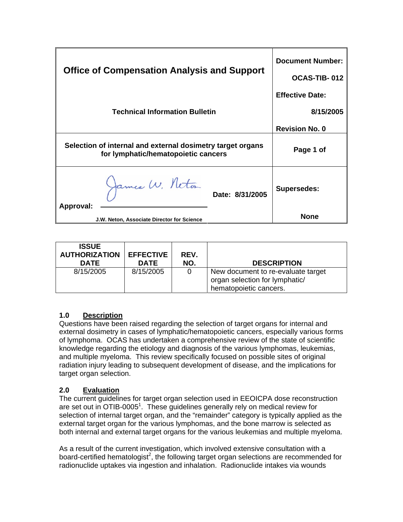| <b>Office of Compensation Analysis and Support</b>                                                | <b>Document Number:</b><br>OCAS-TIB-012 |
|---------------------------------------------------------------------------------------------------|-----------------------------------------|
| <b>Technical Information Bulletin</b>                                                             | <b>Effective Date:</b><br>8/15/2005     |
|                                                                                                   | <b>Revision No. 0</b>                   |
| Selection of internal and external dosimetry target organs<br>for lymphatic/hematopoietic cancers | Page 1 of                               |
| James W. Neton<br>Date: 8/31/2005<br>Approval:                                                    | <b>Supersedes:</b>                      |
| J.W. Neton, Associate Director for Science                                                        | <b>None</b>                             |

| <b>ISSUE</b><br><b>AUTHORIZATION</b><br><b>DATE</b> | <b>EFFECTIVE</b><br><b>DATE</b> | REV.<br>NO. | <b>DESCRIPTION</b>                                                                             |
|-----------------------------------------------------|---------------------------------|-------------|------------------------------------------------------------------------------------------------|
| 8/15/2005                                           | 8/15/2005                       | 0           | New document to re-evaluate target<br>organ selection for lymphatic/<br>hematopoietic cancers. |

# **1.0 Description**

Questions have been raised regarding the selection of target organs for internal and external dosimetry in cases of lymphatic/hematopoietic cancers, especially various forms of lymphoma. OCAS has undertaken a comprehensive review of the state of scientific knowledge regarding the etiology and diagnosis of the various lymphomas, leukemias, and multiple myeloma. This review specifically focused on possible sites of original radiation injury leading to subsequent development of disease, and the implications for target organ selection.

# **2.0 Evaluation**

The current guidelines for target organ selection used in EEOICPA dose reconstruction are set out in OTIB-0005<sup>1</sup>. These quidelines generally rely on medical review for selection of internal target organ, and the "remainder" category is typically applied as the external target organ for the various lymphomas, and the bone marrow is selected as both internal and external target organs for the various leukemias and multiple myeloma.

As a result of the current investigation, which involved extensive consultation with a board-certified hematologist<sup>2</sup>, the following target organ selections are recommended for radionuclide uptakes via ingestion and inhalation. Radionuclide intakes via wounds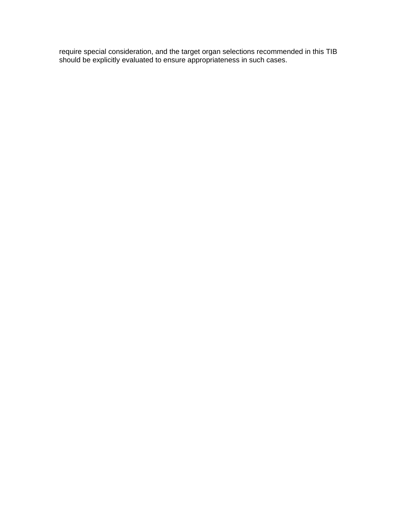require special consideration, and the target organ selections recommended in this TIB should be explicitly evaluated to ensure appropriateness in such cases.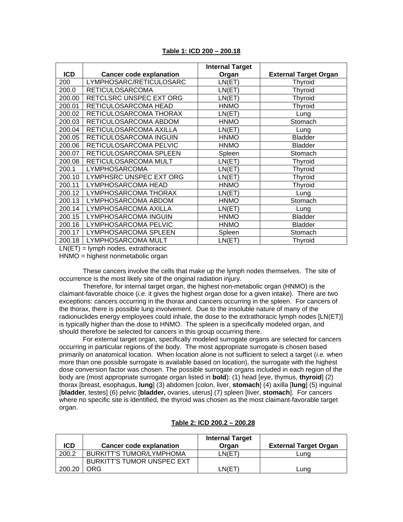|            |                                | <b>Internal Target</b> |                              |
|------------|--------------------------------|------------------------|------------------------------|
| <b>ICD</b> | <b>Cancer code explanation</b> | Organ                  | <b>External Target Organ</b> |
| 200        | LYMPHOSARC/RETICULOSARC        | LN(ET)                 | <b>Thyroid</b>               |
| 200.0      | <b>RETICULOSARCOMA</b>         | LN(ET)                 | <b>Thyroid</b>               |
| 200.00     | RETCLSRC UNSPEC EXT ORG        | LN(ET)                 | <b>Thyroid</b>               |
| 200.01     | RETICULOSARCOMA HEAD           | <b>HNMO</b>            | <b>Thyroid</b>               |
| 200.02     | RETICULOSARCOMA THORAX         | LN(ET)                 | Lung                         |
| 200.03     | RETICULOSARCOMA ABDOM          | <b>HNMO</b>            | Stomach                      |
| 200.04     | RETICULOSARCOMA AXILLA         | LN(ET)                 | Lung                         |
| 200.05     | RETICULOSARCOMA INGUIN         | <b>HNMO</b>            | <b>Bladder</b>               |
| 200.06     | RETICULOSARCOMA PELVIC         | <b>HNMO</b>            | <b>Bladder</b>               |
| 200.07     | RETICULOSARCOMA SPLEEN         | Spleen                 | Stomach                      |
| 200.08     | RETICULOSARCOMA MULT           | LN(ET)                 | <b>Thyroid</b>               |
| 200.1      | LYMPHOSARCOMA                  | LN(ET)                 | <b>Thyroid</b>               |
| 200.10     | LYMPHSRC UNSPEC EXT ORG        | LN(ET)                 | <b>Thyroid</b>               |
| 200.11     | LYMPHOSARCOMA HEAD             | <b>HNMO</b>            | <b>Thyroid</b>               |
| 200.12     | LYMPHOSARCOMA THORAX           | LN(ET)                 | Lung                         |
| 200.13     | LYMPHOSARCOMA ABDOM            | <b>HNMO</b>            | Stomach                      |
| 200.14     | LYMPHOSARCOMA AXILLA           | LN(ET)                 | Lung                         |
| 200.15     | LYMPHOSARCOMA INGUIN           | <b>HNMO</b>            | <b>Bladder</b>               |
| 200.16     | LYMPHOSARCOMA PELVIC           | <b>HNMO</b>            | <b>Bladder</b>               |
| 200.17     | LYMPHOSARCOMA SPLEEN           | Spleen                 | Stomach                      |
| 200.18     | LYMPHOSARCOMA MULT             | LN(ET)                 | <b>Thyroid</b>               |

### **Table 1: ICD 200 – 200.18**

 $LN(ET) =$  lymph nodes, extrathoracic

HNMO = highest nonmetabolic organ

These cancers involve the cells that make up the lymph nodes themselves. The site of occurrence is the most likely site of the original radiation injury.

Therefore, for internal target organ, the highest non-metabolic organ (HNMO) is the claimant-favorable choice (*i.e.* it gives the highest organ dose for a given intake). There are two exceptions: cancers occurring in the thorax and cancers occurring in the spleen. For cancers of the thorax, there is possible lung involvement. Due to the insoluble nature of many of the radionuclides energy employees could inhale, the dose to the extrathoracic lymph nodes [LN(ET)] is typically higher than the dose to HNMO. The spleen is a specifically modeled organ, and should therefore be selected for cancers in this group occurring there.

For external target organ, specifically modeled surrogate organs are selected for cancers occurring in particular regions of the body. The most appropriate surrogate is chosen based primarily on anatomical location. When location alone is not sufficient to select a target (*i.e.* when more than one possible surrogate is available based on location), the surrogate with the highest dose conversion factor was chosen. The possible surrogate organs included in each region of the body are (most appropriate surrogate organ listed in **bold**): (1) head [eye, thymus, **thyroid**] (2) thorax [breast, esophagus, **lung**] (3) abdomen [colon, liver, **stomach**] (4) axilla [**lung**] (5) inguinal [**bladder**, testes] (6) pelvic [**bladder,** ovaries, uterus] (7) spleen [liver, **stomach**]. For cancers where no specific site is identified, the thyroid was chosen as the most claimant-favorable target organ.

| <b>ICD</b> | <b>Cancer code explanation</b>  | <b>Internal Target</b><br>Oraan | <b>External Target Organ</b> |
|------------|---------------------------------|---------------------------------|------------------------------|
| 200.2      | <b>BURKITT'S TUMOR/LYMPHOMA</b> | LN(ET                           | Luna                         |
|            | BURKITT'S TUMOR UNSPEC EXT      |                                 |                              |
| 200.20     | <b>ORG</b>                      | LN(E1                           | Luna                         |

### **Table 2: ICD 200.2 – 200.28**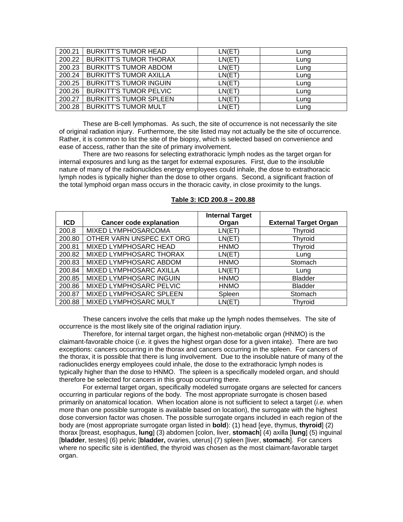| 200.21 | <b>BURKITT'S TUMOR HEAD</b>   | LN(ET) | Lung |
|--------|-------------------------------|--------|------|
| 200.22 | <b>BURKITT'S TUMOR THORAX</b> | LN(ET) | Lung |
| 200.23 | <b>BURKITT'S TUMOR ABDOM</b>  | LN(ET) | Lung |
| 200.24 | <b>BURKITT'S TUMOR AXILLA</b> | LN(ET) | Lung |
| 200.25 | <b>BURKITT'S TUMOR INGUIN</b> | LN(ET) | Lung |
| 200.26 | <b>BURKITT'S TUMOR PELVIC</b> | LN(ET) | Lung |
| 200.27 | <b>BURKITT'S TUMOR SPLEEN</b> | LN(ET) | Lung |
| 200.28 | <b>BURKITT'S TUMOR MULT</b>   | LN(ET) | Lung |

These are B-cell lymphomas. As such, the site of occurrence is not necessarily the site of original radiation injury. Furthermore, the site listed may not actually be the site of occurrence. Rather, it is common to list the site of the biopsy, which is selected based on convenience and ease of access, rather than the site of primary involvement.

There are two reasons for selecting extrathoracic lymph nodes as the target organ for internal exposures and lung as the target for external exposures. First, due to the insoluble nature of many of the radionuclides energy employees could inhale, the dose to extrathoracic lymph nodes is typically higher than the dose to other organs. Second, a significant fraction of the total lymphoid organ mass occurs in the thoracic cavity, in close proximity to the lungs.

|            |                                | <b>Internal Target</b> |                              |
|------------|--------------------------------|------------------------|------------------------------|
| <b>ICD</b> | <b>Cancer code explanation</b> | Organ                  | <b>External Target Organ</b> |
| 200.8      | MIXED LYMPHOSARCOMA            | LN(ET)                 | Thyroid                      |
| 200.80     | OTHER VARN UNSPEC EXT ORG      | LN(ET)                 | Thyroid                      |
| 200.81     | MIXED LYMPHOSARC HEAD          | <b>HNMO</b>            | Thyroid                      |
| 200.82     | MIXED LYMPHOSARC THORAX        | LN(ET)                 | Lung                         |
| 200.83     | MIXED LYMPHOSARC ABDOM         | <b>HNMO</b>            | Stomach                      |
| 200.84     | MIXED LYMPHOSARC AXILLA        | LN(ET)                 | Lung                         |
| 200.85     | MIXED LYMPHOSARC INGUIN        | <b>HNMO</b>            | <b>Bladder</b>               |
| 200.86     | MIXED LYMPHOSARC PELVIC        | <b>HNMO</b>            | <b>Bladder</b>               |
| 200.87     | MIXED LYMPHOSARC SPLEEN        | Spleen                 | Stomach                      |
| 200.88     | MIXED LYMPHOSARC MULT          | LN(ET)                 | Thyroid                      |

#### **Table 3: ICD 200.8 – 200.88**

These cancers involve the cells that make up the lymph nodes themselves. The site of occurrence is the most likely site of the original radiation injury.

Therefore, for internal target organ, the highest non-metabolic organ (HNMO) is the claimant-favorable choice (*i.e.* it gives the highest organ dose for a given intake). There are two exceptions: cancers occurring in the thorax and cancers occurring in the spleen. For cancers of the thorax, it is possible that there is lung involvement. Due to the insoluble nature of many of the radionuclides energy employees could inhale, the dose to the extrathoracic lymph nodes is typically higher than the dose to HNMO. The spleen is a specifically modeled organ, and should therefore be selected for cancers in this group occurring there.

For external target organ, specifically modeled surrogate organs are selected for cancers occurring in particular regions of the body. The most appropriate surrogate is chosen based primarily on anatomical location. When location alone is not sufficient to select a target (*i.e.* when more than one possible surrogate is available based on location), the surrogate with the highest dose conversion factor was chosen. The possible surrogate organs included in each region of the body are (most appropriate surrogate organ listed in **bold**): (1) head [eye, thymus, **thyroid**] (2) thorax [breast, esophagus, **lung**] (3) abdomen [colon, liver, **stomach**] (4) axilla [**lung**] (5) inguinal [**bladder**, testes] (6) pelvic [**bladder,** ovaries, uterus] (7) spleen [liver, **stomach**]. For cancers where no specific site is identified, the thyroid was chosen as the most claimant-favorable target organ.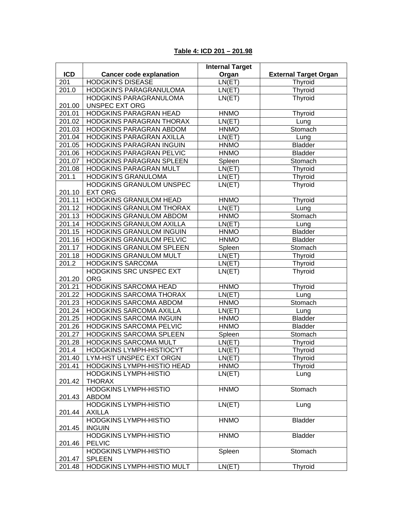|            | <b>Internal Target</b>                       |                                   |                              |
|------------|----------------------------------------------|-----------------------------------|------------------------------|
| <b>ICD</b> | <b>Cancer code explanation</b>               | Organ                             | <b>External Target Organ</b> |
| 201        | <b>HODGKIN'S DISEASE</b>                     | LN(ET)                            | Thyroid                      |
| 201.0      | HODGKIN'S PARAGRANULOMA                      | LN(ET)                            | Thyroid                      |
|            | HODGKINS PARAGRANULOMA                       | LN(ET)                            | Thyroid                      |
| 201.00     | UNSPEC EXT ORG                               |                                   |                              |
| 201.01     | HODGKINS PARAGRAN HEAD                       | <b>HNMO</b>                       | Thyroid                      |
| 201.02     | HODGKINS PARAGRAN THORAX                     | LN(ET)                            | Lung                         |
| 201.03     | HODGKINS PARAGRAN ABDOM                      | <b>HNMO</b>                       | Stomach                      |
| 201.04     | HODGKINS PARAGRAN AXILLA                     | LN(ET)                            | Lung                         |
| 201.05     | HODGKINS PARAGRAN INGUIN                     | <b>HNMO</b>                       | <b>Bladder</b>               |
| 201.06     | HODGKINS PARAGRAN PELVIC                     | <b>HNMO</b>                       | <b>Bladder</b>               |
| 201.07     | HODGKINS PARAGRAN SPLEEN                     | Spleen                            | Stomach                      |
| 201.08     | HODGKINS PARAGRAN MULT                       | LN(ET)                            | Thyroid                      |
| 201.1      | HODGKIN'S GRANULOMA                          | LN(ET)                            | Thyroid                      |
|            | HODGKINS GRANULOM UNSPEC                     | LN(ET)                            | Thyroid                      |
| 201.10     | <b>EXT ORG</b>                               |                                   |                              |
| 201.11     | HODGKINS GRANULOM HEAD                       | <b>HNMO</b>                       | <b>Thyroid</b>               |
| 201.12     | HODGKINS GRANULOM THORAX                     | LN(ET)                            | Lung                         |
| 201.13     | HODGKINS GRANULOM ABDOM                      | <b>HNMO</b>                       | Stomach                      |
| 201.14     | HODGKINS GRANULOM AXILLA                     | LN(ET)                            | Lung                         |
| 201.15     | <b>HODGKINS GRANULOM INGUIN</b>              | <b>HNMO</b>                       | <b>Bladder</b>               |
| 201.16     | HODGKINS GRANULOM PELVIC                     | <b>HNMO</b>                       | <b>Bladder</b>               |
| 201.17     | <b>HODGKINS GRANULOM SPLEEN</b>              | Spleen                            | Stomach                      |
| 201.18     | HODGKINS GRANULOM MULT                       | $\overline{\text{LN}}(\text{ET})$ | Thyroid                      |
| 201.2      | <b>HODGKIN'S SARCOMA</b>                     | LN(ET)                            | Thyroid                      |
|            | HODGKINS SRC UNSPEC EXT                      | LN(ET)                            | Thyroid                      |
| 201.20     | <b>ORG</b>                                   |                                   |                              |
| 201.21     | <b>HODGKINS SARCOMA HEAD</b>                 | <b>HNMO</b>                       | Thyroid                      |
| 201.22     | HODGKINS SARCOMA THORAX                      | LN(ET)                            | Lung                         |
| 201.23     | HODGKINS SARCOMA ABDOM                       | <b>HNMO</b>                       | Stomach                      |
| 201.24     | HODGKINS SARCOMA AXILLA                      | LN(ET)                            | Lung                         |
| 201.25     | HODGKINS SARCOMA INGUIN                      | <b>HNMO</b>                       | <b>Bladder</b>               |
| 201.26     | HODGKINS SARCOMA PELVIC                      | <b>HNMO</b>                       | <b>Bladder</b>               |
| 201.27     | HODGKINS SARCOMA SPLEEN                      | Spleen                            | Stomach                      |
| 201.28     | HODGKINS SARCOMA MULT                        | LN(ET)                            | Thyroid                      |
| 201.4      | HODGKINS LYMPH-HISTIOCYT                     | LN(ET)                            | Thyroid                      |
| 201.40     | LYM-HST UNSPEC EXT ORGN                      | LN(ET)                            | Thyroid                      |
| 201.41     | HODGKINS LYMPH-HISTIO HEAD                   | <b>HNMO</b>                       | <b>Thyroid</b>               |
|            | <b>HODGKINS LYMPH-HISTIO</b>                 | LN(ET)                            | Lung                         |
| 201.42     | <b>THORAX</b>                                |                                   |                              |
| 201.43     | <b>HODGKINS LYMPH-HISTIO</b><br><b>ABDOM</b> | <b>HNMO</b>                       | Stomach                      |
|            | <b>HODGKINS LYMPH-HISTIO</b>                 | LN(ET)                            | Lung                         |
| 201.44     | <b>AXILLA</b>                                |                                   |                              |
|            | <b>HODGKINS LYMPH-HISTIO</b>                 | <b>HNMO</b>                       | <b>Bladder</b>               |
| 201.45     | <b>INGUIN</b>                                |                                   |                              |
|            | <b>HODGKINS LYMPH-HISTIO</b>                 | <b>HNMO</b>                       | <b>Bladder</b>               |
| 201.46     | <b>PELVIC</b>                                |                                   |                              |
|            | <b>HODGKINS LYMPH-HISTIO</b>                 | Spleen                            | Stomach                      |
| 201.47     | <b>SPLEEN</b>                                |                                   |                              |
| 201.48     | HODGKINS LYMPH-HISTIO MULT                   | LN(ET)                            | Thyroid                      |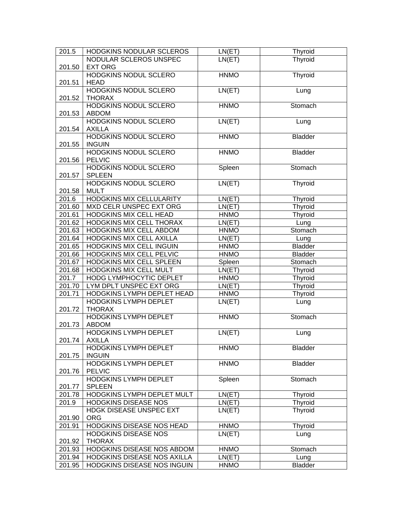| 201.5  | HODGKINS NODULAR SCLEROS        | LN(ET)      | <b>Thyroid</b> |
|--------|---------------------------------|-------------|----------------|
|        | NODULAR SCLEROS UNSPEC          | LN(ET)      | Thyroid        |
| 201.50 | <b>EXT ORG</b>                  |             |                |
|        | HODGKINS NODUL SCLERO           | <b>HNMO</b> | Thyroid        |
| 201.51 | <b>HEAD</b>                     |             |                |
|        | <b>HODGKINS NODUL SCLERO</b>    | LN(ET)      | Lung           |
| 201.52 | <b>THORAX</b>                   |             |                |
|        | <b>HODGKINS NODUL SCLERO</b>    | <b>HNMO</b> | Stomach        |
| 201.53 | <b>ABDOM</b>                    |             |                |
|        | <b>HODGKINS NODUL SCLERO</b>    | LN(ET)      | Lung           |
| 201.54 | <b>AXILLA</b>                   |             |                |
|        | <b>HODGKINS NODUL SCLERO</b>    | <b>HNMO</b> | <b>Bladder</b> |
| 201.55 | <b>INGUIN</b>                   |             |                |
|        | HODGKINS NODUL SCLERO           | <b>HNMO</b> | <b>Bladder</b> |
| 201.56 | <b>PELVIC</b>                   |             |                |
|        | HODGKINS NODUL SCLERO           | Spleen      | Stomach        |
| 201.57 | <b>SPLEEN</b>                   |             |                |
|        | <b>HODGKINS NODUL SCLERO</b>    | LN(ET)      | Thyroid        |
| 201.58 | <b>MULT</b>                     |             |                |
| 201.6  | <b>HODGKINS MIX CELLULARITY</b> | LN(ET)      | Thyroid        |
| 201.60 | MXD CELR UNSPEC EXT ORG         | LN(ET)      | Thyroid        |
| 201.61 | HODGKINS MIX CELL HEAD          | <b>HNMO</b> | Thyroid        |
| 201.62 | HODGKINS MIX CELL THORAX        | LN(ET)      | Lung           |
| 201.63 | HODGKINS MIX CELL ABDOM         | <b>HNMO</b> | Stomach        |
| 201.64 | HODGKINS MIX CELL AXILLA        | LN(ET)      | Lung           |
| 201.65 | HODGKINS MIX CELL INGUIN        | <b>HNMO</b> | <b>Bladder</b> |
| 201.66 | HODGKINS MIX CELL PELVIC        | <b>HNMO</b> | <b>Bladder</b> |
| 201.67 | HODGKINS MIX CELL SPLEEN        | Spleen      | Stomach        |
| 201.68 | HODGKINS MIX CELL MULT          | LN(ET)      | <b>Thyroid</b> |
| 201.7  | HODG LYMPHOCYTIC DEPLET         | <b>HNMO</b> | Thyroid        |
| 201.70 | LYM DPLT UNSPEC EXT ORG         | LN(ET)      | Thyroid        |
| 201.71 | HODGKINS LYMPH DEPLET HEAD      | <b>HNMO</b> | Thyroid        |
|        | HODGKINS LYMPH DEPLET           | LN(ET)      | Lung           |
| 201.72 | <b>THORAX</b>                   |             |                |
|        | <b>HODGKINS LYMPH DEPLET</b>    | <b>HNMO</b> | Stomach        |
| 201.73 | <b>ABDOM</b>                    |             |                |
|        | <b>HODGKINS LYMPH DEPLET</b>    | LN(ET)      | Lung           |
| 201.74 | <b>AXILLA</b>                   |             |                |
|        | HODGKINS LYMPH DEPLET           | <b>HNMO</b> | <b>Bladder</b> |
| 201.75 | <b>INGUIN</b>                   |             |                |
|        | <b>HODGKINS LYMPH DEPLET</b>    | <b>HNMO</b> | <b>Bladder</b> |
| 201.76 | <b>PELVIC</b>                   |             |                |
|        | <b>HODGKINS LYMPH DEPLET</b>    | Spleen      | Stomach        |
| 201.77 | <b>SPLEEN</b>                   |             |                |
| 201.78 | HODGKINS LYMPH DEPLET MULT      | LN(ET)      | Thyroid        |
| 201.9  | <b>HODGKINS DISEASE NOS</b>     | LN(ET)      | Thyroid        |
|        | HDGK DISEASE UNSPEC EXT         | LN(ET)      | Thyroid        |
| 201.90 | <b>ORG</b>                      |             |                |
| 201.91 | HODGKINS DISEASE NOS HEAD       | <b>HNMO</b> | <b>Thyroid</b> |
|        | <b>HODGKINS DISEASE NOS</b>     | LN(ET)      | Lung           |
| 201.92 | <b>THORAX</b>                   |             |                |
| 201.93 | HODGKINS DISEASE NOS ABDOM      | <b>HNMO</b> | Stomach        |
| 201.94 | HODGKINS DISEASE NOS AXILLA     | LN(ET)      | Lung           |
| 201.95 | HODGKINS DISEASE NOS INGUIN     | <b>HNMO</b> | Bladder        |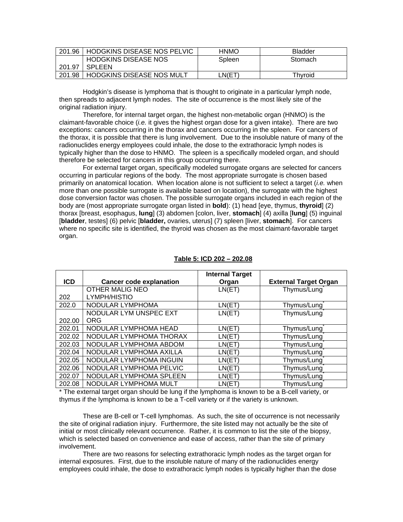|        | 201.96   HODGKINS DISEASE NOS PELVIC | <b>HNMO</b> | <b>Bladder</b> |
|--------|--------------------------------------|-------------|----------------|
|        | <b>HODGKINS DISEASE NOS</b>          | Spleen      | Stomach        |
| 201.97 | SPLEEN                               |             |                |
| 201.98 | HODGKINS DISEASE NOS MULT            | ∟N(ET`      | Thvroid        |

Hodgkin's disease is lymphoma that is thought to originate in a particular lymph node, then spreads to adjacent lymph nodes. The site of occurrence is the most likely site of the original radiation injury.

Therefore, for internal target organ, the highest non-metabolic organ (HNMO) is the claimant-favorable choice (*i.e.* it gives the highest organ dose for a given intake). There are two exceptions: cancers occurring in the thorax and cancers occurring in the spleen. For cancers of the thorax, it is possible that there is lung involvement. Due to the insoluble nature of many of the radionuclides energy employees could inhale, the dose to the extrathoracic lymph nodes is typically higher than the dose to HNMO. The spleen is a specifically modeled organ, and should therefore be selected for cancers in this group occurring there.

For external target organ, specifically modeled surrogate organs are selected for cancers occurring in particular regions of the body. The most appropriate surrogate is chosen based primarily on anatomical location. When location alone is not sufficient to select a target (*i.e.* when more than one possible surrogate is available based on location), the surrogate with the highest dose conversion factor was chosen. The possible surrogate organs included in each region of the body are (most appropriate surrogate organ listed in **bold**): (1) head [eye, thymus, **thyroid**] (2) thorax [breast, esophagus, **lung**] (3) abdomen [colon, liver, **stomach**] (4) axilla [**lung**] (5) inguinal [**bladder**, testes] (6) pelvic [**bladder,** ovaries, uterus] (7) spleen [liver, **stomach**]. For cancers where no specific site is identified, the thyroid was chosen as the most claimant-favorable target organ.

|            |                                | <b>Internal Target</b> |                              |
|------------|--------------------------------|------------------------|------------------------------|
| <b>ICD</b> | <b>Cancer code explanation</b> | Organ                  | <b>External Target Organ</b> |
|            | <b>OTHER MALIG NEO</b>         | LN(ET)                 | Thymus/Lung                  |
| 202        | LYMPH/HISTIO                   |                        |                              |
| 202.0      | NODULAR LYMPHOMA               | LN(ET)                 | Thymus/Lung                  |
|            | NODULAR LYM UNSPEC EXT         | LN(ET)                 | Thymus/Lung                  |
| 202.00     | <b>ORG</b>                     |                        |                              |
| 202.01     | NODULAR LYMPHOMA HEAD          | LN(ET)                 | Thymus/Lung                  |
| 202.02     | NODULAR LYMPHOMA THORAX        | LN(ET)                 | Thymus/Lung                  |
| 202.03     | NODULAR LYMPHOMA ABDOM         | LN(ET)                 | Thymus/Lung                  |
| 202.04     | NODULAR LYMPHOMA AXILLA        | LN(ET)                 | Thymus/Lung                  |
| 202.05     | NODULAR LYMPHOMA INGUIN        | LN(ET)                 | Thymus/Lung                  |
| 202.06     | NODULAR LYMPHOMA PELVIC        | LN(ET)                 | Thymus/Lung                  |
| 202.07     | NODULAR LYMPHOMA SPLEEN        | LN(ET)                 | Thymus/Lung                  |
| 202.08     | NODULAR LYMPHOMA MULT          | LN(ET)                 | Thymus/Lung                  |

### **Table 5: ICD 202 – 202.08**

\* The external target organ should be lung if the lymphoma is known to be a B-cell variety, or thymus if the lymphoma is known to be a T-cell variety or if the variety is unknown.

These are B-cell or T-cell lymphomas. As such, the site of occurrence is not necessarily the site of original radiation injury. Furthermore, the site listed may not actually be the site of initial or most clinically relevant occurrence. Rather, it is common to list the site of the biopsy, which is selected based on convenience and ease of access, rather than the site of primary involvement.

There are two reasons for selecting extrathoracic lymph nodes as the target organ for internal exposures. First, due to the insoluble nature of many of the radionuclides energy employees could inhale, the dose to extrathoracic lymph nodes is typically higher than the dose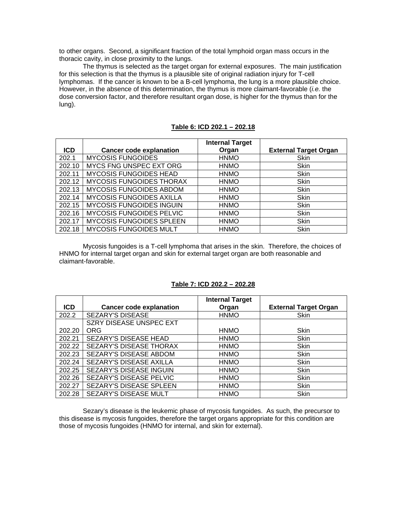to other organs. Second, a significant fraction of the total lymphoid organ mass occurs in the thoracic cavity, in close proximity to the lungs.

The thymus is selected as the target organ for external exposures. The main justification for this selection is that the thymus is a plausible site of original radiation injury for T-cell lymphomas. If the cancer is known to be a B-cell lymphoma, the lung is a more plausible choice. However, in the absence of this determination, the thymus is more claimant-favorable (*i.e.* the dose conversion factor, and therefore resultant organ dose, is higher for the thymus than for the lung).

|            |                                 | <b>Internal Target</b> |                              |
|------------|---------------------------------|------------------------|------------------------------|
| <b>ICD</b> | <b>Cancer code explanation</b>  | Organ                  | <b>External Target Organ</b> |
| 202.1      | <b>MYCOSIS FUNGOIDES</b>        | <b>HNMO</b>            | Skin                         |
| 202.10     | MYCS FNG UNSPEC EXT ORG         | <b>HNMO</b>            | Skin                         |
| 202.11     | <b>MYCOSIS FUNGOIDES HEAD</b>   | <b>HNMO</b>            | <b>Skin</b>                  |
| 202.12     | <b>MYCOSIS FUNGOIDES THORAX</b> | <b>HNMO</b>            | <b>Skin</b>                  |
| 202.13     | <b>MYCOSIS FUNGOIDES ABDOM</b>  | <b>HNMO</b>            | Skin                         |
| 202.14     | <b>MYCOSIS FUNGOIDES AXILLA</b> | <b>HNMO</b>            | Skin                         |
| 202.15     | <b>MYCOSIS FUNGOIDES INGUIN</b> | <b>HNMO</b>            | <b>Skin</b>                  |
| 202.16     | <b>MYCOSIS FUNGOIDES PELVIC</b> | <b>HNMO</b>            | <b>Skin</b>                  |
| 202.17     | <b>MYCOSIS FUNGOIDES SPLEEN</b> | <b>HNMO</b>            | <b>Skin</b>                  |
| 202.18     | <b>MYCOSIS FUNGOIDES MULT</b>   | <b>HNMO</b>            | Skin                         |

**Table 6: ICD 202.1 – 202.18** 

Mycosis fungoides is a T-cell lymphoma that arises in the skin. Therefore, the choices of HNMO for internal target organ and skin for external target organ are both reasonable and claimant-favorable.

#### **Table 7: ICD 202.2 – 202.28**

|            |                                | <b>Internal Target</b> |                              |
|------------|--------------------------------|------------------------|------------------------------|
| <b>ICD</b> | <b>Cancer code explanation</b> | Organ                  | <b>External Target Organ</b> |
| 202.2      | SEZARY'S DISEASE               | <b>HNMO</b>            | Skin                         |
|            | SZRY DISEASE UNSPEC EXT        |                        |                              |
| 202.20     | <b>ORG</b>                     | <b>HNMO</b>            | Skin                         |
| 202.21     | SEZARY'S DISEASE HEAD          | <b>HNMO</b>            | Skin                         |
| 202.22     | SEZARY'S DISEASE THORAX        | <b>HNMO</b>            | Skin                         |
| 202.23     | SEZARY'S DISEASE ABDOM         | <b>HNMO</b>            | <b>Skin</b>                  |
| 202.24     | SEZARY'S DISEASE AXILLA        | <b>HNMO</b>            | Skin                         |
| 202.25     | <b>SEZARY'S DISEASE INGUIN</b> | <b>HNMO</b>            | Skin                         |
| 202.26     | SEZARY'S DISEASE PELVIC        | <b>HNMO</b>            | Skin                         |
| 202.27     | SEZARY'S DISEASE SPLEEN        | <b>HNMO</b>            | Skin                         |
| 202.28     | SEZARY'S DISEASE MULT          | <b>HNMO</b>            | Skin                         |

Sezary's disease is the leukemic phase of mycosis fungoides. As such, the precursor to this disease is mycosis fungoides, therefore the target organs appropriate for this condition are those of mycosis fungoides (HNMO for internal, and skin for external).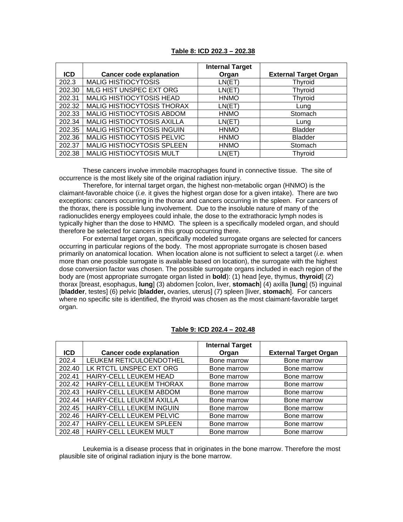|            |                                | <b>Internal Target</b> |                              |
|------------|--------------------------------|------------------------|------------------------------|
| <b>ICD</b> | <b>Cancer code explanation</b> | Organ                  | <b>External Target Organ</b> |
| 202.3      | <b>MALIG HISTIOCYTOSIS</b>     | LN(ET)                 | Thyroid                      |
| 202.30     | MLG HIST UNSPEC EXT ORG        | LN(ET)                 | Thyroid                      |
| 202.31     | MALIG HISTIOCYTOSIS HEAD       | <b>HNMO</b>            | Thyroid                      |
| 202.32     | MALIG HISTIOCYTOSIS THORAX     | LN(ET)                 | Lung                         |
| 202.33     | MALIG HISTIOCYTOSIS ABDOM      | <b>HNMO</b>            | Stomach                      |
| 202.34     | MALIG HISTIOCYTOSIS AXILLA     | LN(ET)                 | Lung                         |
| 202.35     | MALIG HISTIOCYTOSIS INGUIN     | <b>HNMO</b>            | <b>Bladder</b>               |
| 202.36     | MALIG HISTIOCYTOSIS PELVIC     | <b>HNMO</b>            | <b>Bladder</b>               |
| 202.37     | MALIG HISTIOCYTOSIS SPLEEN     | <b>HNMO</b>            | Stomach                      |
| 202.38     | MALIG HISTIOCYTOSIS MULT       | LN(ET)                 | <b>Thyroid</b>               |

These cancers involve immobile macrophages found in connective tissue. The site of occurrence is the most likely site of the original radiation injury.

Therefore, for internal target organ, the highest non-metabolic organ (HNMO) is the claimant-favorable choice (*i.e.* it gives the highest organ dose for a given intake). There are two exceptions: cancers occurring in the thorax and cancers occurring in the spleen. For cancers of the thorax, there is possible lung involvement. Due to the insoluble nature of many of the radionuclides energy employees could inhale, the dose to the extrathoracic lymph nodes is typically higher than the dose to HNMO. The spleen is a specifically modeled organ, and should therefore be selected for cancers in this group occurring there.

For external target organ, specifically modeled surrogate organs are selected for cancers occurring in particular regions of the body. The most appropriate surrogate is chosen based primarily on anatomical location. When location alone is not sufficient to select a target (*i.e.* when more than one possible surrogate is available based on location), the surrogate with the highest dose conversion factor was chosen. The possible surrogate organs included in each region of the body are (most appropriate surrogate organ listed in **bold**): (1) head [eye, thymus, **thyroid**] (2) thorax [breast, esophagus, **lung**] (3) abdomen [colon, liver, **stomach**] (4) axilla [**lung**] (5) inguinal [**bladder**, testes] (6) pelvic [**bladder,** ovaries, uterus] (7) spleen [liver, **stomach**]. For cancers where no specific site is identified, the thyroid was chosen as the most claimant-favorable target organ.

|            |                                | <b>Internal Target</b> |                              |
|------------|--------------------------------|------------------------|------------------------------|
| <b>ICD</b> | <b>Cancer code explanation</b> | Organ                  | <b>External Target Organ</b> |
| 202.4      | LEUKEM RETICULOENDOTHEL        | Bone marrow            | Bone marrow                  |
| 202.40     | LK RTCTL UNSPEC EXT ORG        | Bone marrow            | Bone marrow                  |
| 202.41     | HAIRY-CELL LEUKEM HEAD         | Bone marrow            | Bone marrow                  |
| 202.42     | HAIRY-CELL LEUKEM THORAX       | Bone marrow            | Bone marrow                  |
| 202.43     | HAIRY-CELL LEUKEM ABDOM        | Bone marrow            | Bone marrow                  |
| 202.44     | HAIRY-CELL LEUKEM AXILLA       | Bone marrow            | Bone marrow                  |
| 202.45     | HAIRY-CELL LEUKEM INGUIN       | Bone marrow            | Bone marrow                  |
| 202.46     | HAIRY-CELL LEUKEM PELVIC       | Bone marrow            | Bone marrow                  |
| 202.47     | HAIRY-CELL LEUKEM SPLEEN       | Bone marrow            | Bone marrow                  |
| 202.48     | HAIRY-CELL LEUKEM MULT         | Bone marrow            | Bone marrow                  |

#### **Table 9: ICD 202.4 – 202.48**

Leukemia is a disease process that in originates in the bone marrow. Therefore the most plausible site of original radiation injury is the bone marrow.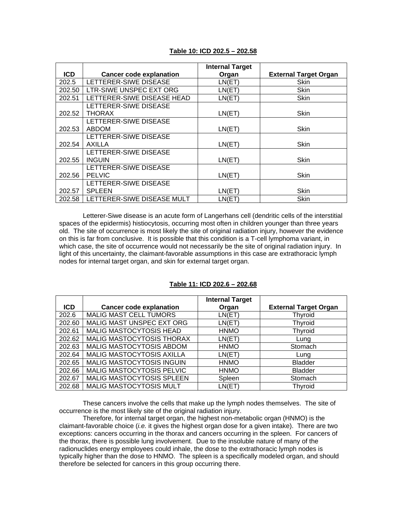|            |                                | <b>Internal Target</b> |                              |
|------------|--------------------------------|------------------------|------------------------------|
| <b>ICD</b> | <b>Cancer code explanation</b> | Organ                  | <b>External Target Organ</b> |
| 202.5      | LETTERER-SIWE DISEASE          | LN(ET)                 | Skin                         |
| 202.50     | LTR-SIWE UNSPEC EXT ORG        | LN(ET)                 | Skin                         |
| 202.51     | LETTERER-SIWE DISEASE HEAD     | LN(ET)                 | Skin                         |
|            | LETTERER-SIWE DISEASE          |                        |                              |
| 202.52     | <b>THORAX</b>                  | LN(ET)                 | Skin                         |
|            | LETTERER-SIWE DISEASE          |                        |                              |
| 202.53     | <b>ABDOM</b>                   | LN(ET)                 | <b>Skin</b>                  |
|            | LETTERER-SIWE DISEASE          |                        |                              |
| 202.54     | <b>AXILLA</b>                  | LN(ET)                 | Skin                         |
|            | LETTERER-SIWE DISEASE          |                        |                              |
| 202.55     | <b>INGUIN</b>                  | LN(ET)                 | Skin                         |
|            | LETTERER-SIWE DISEASE          |                        |                              |
| 202.56     | <b>PELVIC</b>                  | LN(ET)                 | Skin                         |
|            | LETTERER-SIWE DISEASE          |                        |                              |
| 202.57     | <b>SPLEEN</b>                  | LN(ET)                 | Skin                         |
| 202.58     | LETTERER-SIWE DISEASE MULT     | LN(ET)                 | Skin                         |

### **Table 10: ICD 202.5 – 202.58**

Letterer-Siwe disease is an acute form of Langerhans cell (dendritic cells of the interstitial spaces of the epidermis) histiocytosis, occurring most often in children younger than three years old. The site of occurrence is most likely the site of original radiation injury, however the evidence on this is far from conclusive. It is possible that this condition is a T-cell lymphoma variant, in which case, the site of occurrence would not necessarily be the site of original radiation injury. In light of this uncertainty, the claimant-favorable assumptions in this case are extrathoracic lymph nodes for internal target organ, and skin for external target organ.

#### **Table 11: ICD 202.6 – 202.68**

|            |                                  | <b>Internal Target</b> |                              |
|------------|----------------------------------|------------------------|------------------------------|
| <b>ICD</b> | <b>Cancer code explanation</b>   | Organ                  | <b>External Target Organ</b> |
| 202.6      | <b>MALIG MAST CELL TUMORS</b>    | LN(ET)                 | <b>Thyroid</b>               |
| 202.60     | MALIG MAST UNSPEC EXT ORG        | LN(ET)                 | <b>Thyroid</b>               |
| 202.61     | MALIG MASTOCYTOSIS HEAD          | <b>HNMO</b>            | <b>Thyroid</b>               |
| 202.62     | MALIG MASTOCYTOSIS THORAX        | LN(ET)                 | Lung                         |
| 202.63     | MALIG MASTOCYTOSIS ABDOM         | <b>HNMO</b>            | Stomach                      |
| 202.64     | MALIG MASTOCYTOSIS AXILLA        | LN(ET)                 | Lung                         |
| 202.65     | <b>MALIG MASTOCYTOSIS INGUIN</b> | <b>HNMO</b>            | <b>Bladder</b>               |
| 202.66     | MALIG MASTOCYTOSIS PELVIC        | <b>HNMO</b>            | <b>Bladder</b>               |
| 202.67     | MALIG MASTOCYTOSIS SPLEEN        | Spleen                 | Stomach                      |
| 202.68     | MALIG MASTOCYTOSIS MULT          | LN(ET)                 | Thyroid                      |

These cancers involve the cells that make up the lymph nodes themselves. The site of occurrence is the most likely site of the original radiation injury.

Therefore, for internal target organ, the highest non-metabolic organ (HNMO) is the claimant-favorable choice (*i.e.* it gives the highest organ dose for a given intake). There are two exceptions: cancers occurring in the thorax and cancers occurring in the spleen. For cancers of the thorax, there is possible lung involvement. Due to the insoluble nature of many of the radionuclides energy employees could inhale, the dose to the extrathoracic lymph nodes is typically higher than the dose to HNMO. The spleen is a specifically modeled organ, and should therefore be selected for cancers in this group occurring there.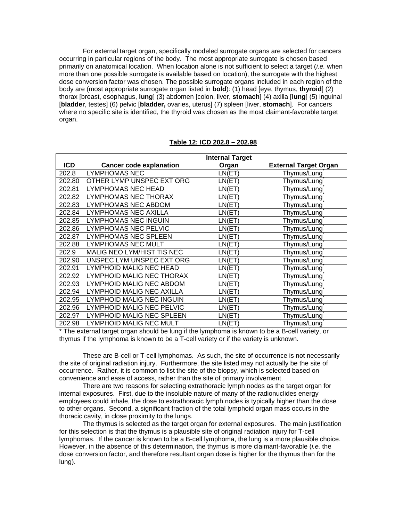For external target organ, specifically modeled surrogate organs are selected for cancers occurring in particular regions of the body. The most appropriate surrogate is chosen based primarily on anatomical location. When location alone is not sufficient to select a target (*i.e.* when more than one possible surrogate is available based on location), the surrogate with the highest dose conversion factor was chosen. The possible surrogate organs included in each region of the body are (most appropriate surrogate organ listed in **bold**): (1) head [eye, thymus, **thyroid**] (2) thorax [breast, esophagus, **lung**] (3) abdomen [colon, liver, **stomach**] (4) axilla [**lung**] (5) inguinal [**bladder**, testes] (6) pelvic [**bladder,** ovaries, uterus] (7) spleen [liver, **stomach**]. For cancers where no specific site is identified, the thyroid was chosen as the most claimant-favorable target organ.

|            |                                | <b>Internal Target</b> |                              |
|------------|--------------------------------|------------------------|------------------------------|
| <b>ICD</b> | <b>Cancer code explanation</b> | Organ                  | <b>External Target Organ</b> |
| 202.8      | <b>LYMPHOMAS NEC</b>           | LN(ET)                 | Thymus/Lung                  |
| 202.80     | OTHER LYMP UNSPEC EXT ORG      | LN(ET)                 | Thymus/Lung                  |
| 202.81     | <b>LYMPHOMAS NEC HEAD</b>      | LN(ET)                 | Thymus/Lung                  |
| 202.82     | LYMPHOMAS NEC THORAX           | LN(ET)                 | Thymus/Lung                  |
| 202.83     | <b>LYMPHOMAS NEC ABDOM</b>     | LN(ET)                 | Thymus/Lung                  |
| 202.84     | <b>LYMPHOMAS NEC AXILLA</b>    | LN(ET)                 | Thymus/Lung                  |
| 202.85     | LYMPHOMAS NEC INGUIN           | LN(ET)                 | Thymus/Lung                  |
| 202.86     | <b>LYMPHOMAS NEC PELVIC</b>    | LN(ET)                 | Thymus/Lung                  |
| 202.87     | <b>LYMPHOMAS NEC SPLEEN</b>    | LN(ET)                 | Thymus/Lung                  |
| 202.88     | <b>LYMPHOMAS NEC MULT</b>      | LN(ET)                 | Thymus/Lung                  |
| 202.9      | MALIG NEO LYM/HIST TIS NEC     | LN(ET)                 | Thymus/Lung                  |
| 202.90     | UNSPEC LYM UNSPEC EXT ORG      | LN(ET)                 | Thymus/Lung                  |
| 202.91     | LYMPHOID MALIG NEC HEAD        | LN(ET)                 | Thymus/Lung                  |
| 202.92     | LYMPHOID MALIG NEC THORAX      | LN(ET)                 | Thymus/Lung                  |
| 202.93     | LYMPHOID MALIG NEC ABDOM       | LN(ET)                 | Thymus/Lung                  |
| 202.94     | LYMPHOID MALIG NEC AXILLA      | LN(ET)                 | Thymus/Lung                  |
| 202.95     | LYMPHOID MALIG NEC INGUIN      | LN(ET)                 | Thymus/Lung                  |
| 202.96     | LYMPHOID MALIG NEC PELVIC      | LN(ET)                 | Thymus/Lung                  |
| 202.97     | LYMPHOID MALIG NEC SPLEEN      | LN(ET)                 | Thymus/Lung                  |
| 202.98     | LYMPHOID MALIG NEC MULT        | LN(ET)                 | Thymus/Lung                  |

#### **Table 12: ICD 202.8 – 202.98**

\* The external target organ should be lung if the lymphoma is known to be a B-cell variety, or thymus if the lymphoma is known to be a T-cell variety or if the variety is unknown.

These are B-cell or T-cell lymphomas. As such, the site of occurrence is not necessarily the site of original radiation injury. Furthermore, the site listed may not actually be the site of occurrence. Rather, it is common to list the site of the biopsy, which is selected based on convenience and ease of access, rather than the site of primary involvement.

There are two reasons for selecting extrathoracic lymph nodes as the target organ for internal exposures. First, due to the insoluble nature of many of the radionuclides energy employees could inhale, the dose to extrathoracic lymph nodes is typically higher than the dose to other organs. Second, a significant fraction of the total lymphoid organ mass occurs in the thoracic cavity, in close proximity to the lungs.

The thymus is selected as the target organ for external exposures. The main justification for this selection is that the thymus is a plausible site of original radiation injury for T-cell lymphomas. If the cancer is known to be a B-cell lymphoma, the lung is a more plausible choice. However, in the absence of this determination, the thymus is more claimant-favorable (*i.e.* the dose conversion factor, and therefore resultant organ dose is higher for the thymus than for the lung).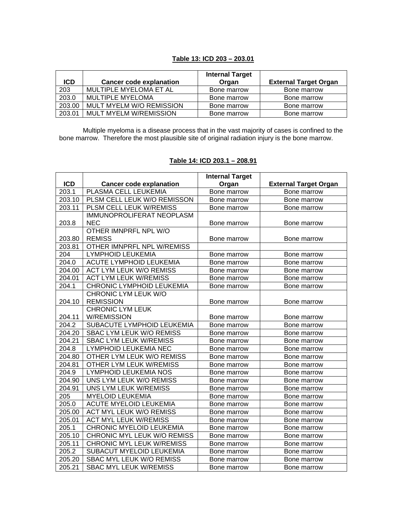# **Table 13: ICD 203 – 203.01**

|            |                                | <b>Internal Target</b> |                              |
|------------|--------------------------------|------------------------|------------------------------|
| <b>ICD</b> | <b>Cancer code explanation</b> | Organ                  | <b>External Target Organ</b> |
| 203        | MULTIPLE MYELOMA ET AL         | Bone marrow            | Bone marrow                  |
| 203.0      | MULTIPLE MYELOMA               | Bone marrow            | Bone marrow                  |
| 203.00     | MULT MYELM W/O REMISSION       | Bone marrow            | Bone marrow                  |
| 203.01     | <b>MULT MYELM W/REMISSION</b>  | Bone marrow            | Bone marrow                  |

Multiple myeloma is a disease process that in the vast majority of cases is confined to the bone marrow. Therefore the most plausible site of original radiation injury is the bone marrow.

|            |                                  | <b>Internal Target</b> |                              |
|------------|----------------------------------|------------------------|------------------------------|
| <b>ICD</b> | <b>Cancer code explanation</b>   | Organ                  | <b>External Target Organ</b> |
| 203.1      | PLASMA CELL LEUKEMIA             | Bone marrow            | Bone marrow                  |
| 203.10     | PLSM CELL LEUK W/O REMISSON      | Bone marrow            | Bone marrow                  |
| 203.11     | PLSM CELL LEUK W/REMISS          | Bone marrow            | Bone marrow                  |
|            | <b>IMMUNOPROLIFERAT NEOPLASM</b> |                        |                              |
| 203.8      | <b>NEC</b>                       | Bone marrow            | Bone marrow                  |
|            | OTHER IMNPRFL NPL W/O            |                        |                              |
| 203.80     | <b>REMISS</b>                    | Bone marrow            | Bone marrow                  |
| 203.81     | OTHER IMNPRFL NPL W/REMISS       |                        |                              |
| 204        | <b>LYMPHOID LEUKEMIA</b>         | Bone marrow            | Bone marrow                  |
| 204.0      | ACUTE LYMPHOID LEUKEMIA          | Bone marrow            | Bone marrow                  |
| 204.00     | <b>ACT LYM LEUK W/O REMISS</b>   | Bone marrow            | Bone marrow                  |
| 204.01     | <b>ACT LYM LEUK W/REMISS</b>     | Bone marrow            | Bone marrow                  |
| 204.1      | CHRONIC LYMPHOID LEUKEMIA        | Bone marrow            | Bone marrow                  |
|            | CHRONIC LYM LEUK W/O             |                        |                              |
| 204.10     | <b>REMISSION</b>                 | Bone marrow            | Bone marrow                  |
|            | <b>CHRONIC LYM LEUK</b>          |                        |                              |
| 204.11     | <b>W/REMISSION</b>               | Bone marrow            | Bone marrow                  |
| 204.2      | SUBACUTE LYMPHOID LEUKEMIA       | Bone marrow            | Bone marrow                  |
| 204.20     | SBAC LYM LEUK W/O REMISS         | Bone marrow            | Bone marrow                  |
| 204.21     | <b>SBAC LYM LEUK W/REMISS</b>    | Bone marrow            | Bone marrow                  |
| 204.8      | LYMPHOID LEUKEMIA NEC            | Bone marrow            | Bone marrow                  |
| 204.80     | OTHER LYM LEUK W/O REMISS        | Bone marrow            | Bone marrow                  |
| 204.81     | OTHER LYM LEUK W/REMISS          | Bone marrow            | Bone marrow                  |
| 204.9      | LYMPHOID LEUKEMIA NOS            | Bone marrow            | Bone marrow                  |
| 204.90     | UNS LYM LEUK W/O REMISS          | Bone marrow            | Bone marrow                  |
| 204.91     | UNS LYM LEUK W/REMISS            | Bone marrow            | Bone marrow                  |
| 205        | <b>MYELOID LEUKEMIA</b>          | Bone marrow            | Bone marrow                  |
| 205.0      | <b>ACUTE MYELOID LEUKEMIA</b>    | Bone marrow            | Bone marrow                  |
| 205.00     | <b>ACT MYL LEUK W/O REMISS</b>   | Bone marrow            | Bone marrow                  |
| 205.01     | <b>ACT MYL LEUK W/REMISS</b>     | Bone marrow            | Bone marrow                  |
| 205.1      | CHRONIC MYELOID LEUKEMIA         | Bone marrow            | Bone marrow                  |
| 205.10     | CHRONIC MYL LEUK W/O REMISS      | Bone marrow            | Bone marrow                  |
| 205.11     | <b>CHRONIC MYL LEUK W/REMISS</b> | Bone marrow            | Bone marrow                  |
| 205.2      | SUBACUT MYELOID LEUKEMIA         | Bone marrow            | Bone marrow                  |
| 205.20     | SBAC MYL LEUK W/O REMISS         | Bone marrow            | Bone marrow                  |
| 205.21     | <b>SBAC MYL LEUK W/REMISS</b>    | Bone marrow            | Bone marrow                  |

# **Table 14: ICD 203.1 – 208.91**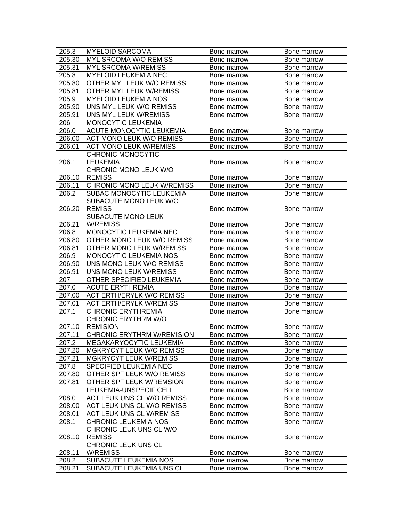| 205.3              | <b>MYELOID SARCOMA</b>            | Bone marrow                | Bone marrow                |
|--------------------|-----------------------------------|----------------------------|----------------------------|
| 205.30             | MYL SRCOMA W/O REMISS             | Bone marrow                | Bone marrow                |
| 205.31             | <b>MYL SRCOMA W/REMISS</b>        | Bone marrow                | Bone marrow                |
| 205.8              | <b>MYELOID LEUKEMIA NEC</b>       | Bone marrow                | Bone marrow                |
| 205.80             | OTHER MYL LEUK W/O REMISS         | Bone marrow                | Bone marrow                |
| 205.81             | OTHER MYL LEUK W/REMISS           | Bone marrow                | Bone marrow                |
| 205.9              | <b>MYELOID LEUKEMIA NOS</b>       | Bone marrow                | Bone marrow                |
| 205.90             | UNS MYL LEUK W/O REMISS           | Bone marrow                | Bone marrow                |
| 205.91             | UNS MYL LEUK W/REMISS             | Bone marrow                | Bone marrow                |
| 206                | MONOCYTIC LEUKEMIA                |                            |                            |
| 206.0              | ACUTE MONOCYTIC LEUKEMIA          | Bone marrow                | Bone marrow                |
| 206.00             | <b>ACT MONO LEUK W/O REMISS</b>   | Bone marrow                | Bone marrow                |
| 206.01             | <b>ACT MONO LEUK W/REMISS</b>     | Bone marrow                | Bone marrow                |
|                    | <b>CHRONIC MONOCYTIC</b>          |                            |                            |
| 206.1              | <b>LEUKEMIA</b>                   | Bone marrow                | Bone marrow                |
|                    | CHRONIC MONO LEUK W/O             |                            |                            |
| 206.10             | <b>REMISS</b>                     | Bone marrow                | Bone marrow                |
| 206.11             | <b>CHRONIC MONO LEUK W/REMISS</b> | Bone marrow                | Bone marrow                |
| 206.2              | <b>SUBAC MONOCYTIC LEUKEMIA</b>   | Bone marrow                | Bone marrow                |
|                    | SUBACUTE MONO LEUK W/O            |                            |                            |
| 206.20             | <b>REMISS</b>                     | Bone marrow                | Bone marrow                |
|                    | <b>SUBACUTE MONO LEUK</b>         |                            |                            |
| 206.21             | <b>W/REMISS</b>                   | Bone marrow                | Bone marrow                |
| 206.8              | MONOCYTIC LEUKEMIA NEC            | Bone marrow                | Bone marrow                |
| 206.80             | OTHER MONO LEUK W/O REMISS        | Bone marrow                | Bone marrow                |
| 206.81             | OTHER MONO LEUK W/REMISS          | Bone marrow                | Bone marrow                |
| 206.9              | MONOCYTIC LEUKEMIA NOS            | Bone marrow                | Bone marrow                |
| 206.90             | UNS MONO LEUK W/O REMISS          | Bone marrow                | Bone marrow                |
| 206.91             | UNS MONO LEUK W/REMISS            | Bone marrow                | Bone marrow                |
| 207                | OTHER SPECIFIED LEUKEMIA          | Bone marrow                | Bone marrow                |
| 207.0              | <b>ACUTE ERYTHREMIA</b>           | Bone marrow                | Bone marrow                |
| 207.00             | <b>ACT ERTH/ERYLK W/O REMISS</b>  | Bone marrow                | Bone marrow                |
| 207.01             | <b>ACT ERTH/ERYLK W/REMISS</b>    | Bone marrow                | Bone marrow                |
| 207.1              | <b>CHRONIC ERYTHREMIA</b>         | Bone marrow                | Bone marrow                |
|                    | <b>CHRONIC ERYTHRM W/O</b>        |                            |                            |
| 207.10             | <b>REMISION</b>                   | Bone marrow                | Bone marrow                |
| 207.11             | <b>CHRONIC ERYTHRM W/REMISION</b> | Bone marrow                | Bone marrow                |
| $207.\overline{2}$ | MEGAKARYOCYTIC LEUKEMIA           | Bone marrow                | Bone marrow                |
| 207.20             | MGKRYCYT LEUK W/O REMISS          | Bone marrow                | Bone marrow                |
| 207.21             | MGKRYCYT LEUK W/REMISS            | Bone marrow                | Bone marrow                |
| 207.8              | SPECIFIED LEUKEMIA NEC            | Bone marrow                | Bone marrow                |
| 207.80             | OTHER SPF LEUK W/O REMISS         | Bone marrow                | Bone marrow                |
| 207.81             | OTHER SPF LEUK W/REMSION          | Bone marrow                | Bone marrow                |
|                    | LEUKEMIA-UNSPECIF CELL            | Bone marrow                | Bone marrow                |
| 208.0              | ACT LEUK UNS CL W/O REMISS        | Bone marrow                | Bone marrow                |
| 208.00             | ACT LEUK UNS CL W/O REMISS        | Bone marrow                | Bone marrow                |
| 208.01             | ACT LEUK UNS CL W/REMISS          | Bone marrow                | Bone marrow                |
| 208.1              | <b>CHRONIC LEUKEMIA NOS</b>       | Bone marrow                | Bone marrow                |
|                    | CHRONIC LEUK UNS CL W/O           |                            |                            |
| 208.10             | <b>REMISS</b>                     | Bone marrow                | Bone marrow                |
|                    | CHRONIC LEUK UNS CL<br>W/REMISS   |                            |                            |
| 208.11<br>208.2    | SUBACUTE LEUKEMIA NOS             | Bone marrow<br>Bone marrow | Bone marrow<br>Bone marrow |
| 208.21             | SUBACUTE LEUKEMIA UNS CL          | Bone marrow                | Bone marrow                |
|                    |                                   |                            |                            |